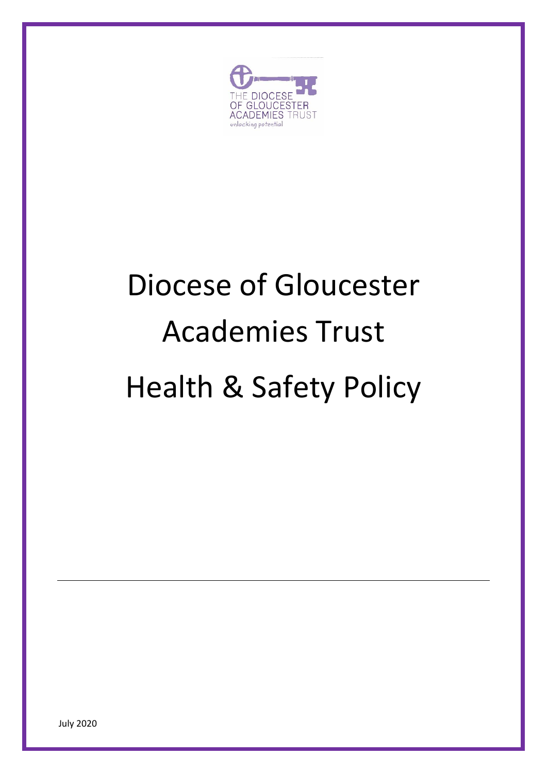

# Diocese of Gloucester Academies Trust Health & Safety Policy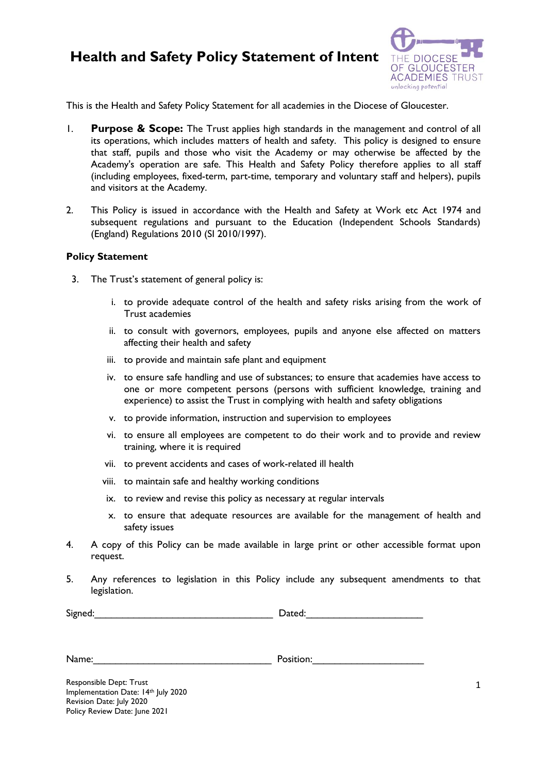## **Health and Safety Policy Statement of Intent**



This is the Health and Safety Policy Statement for all academies in the Diocese of Gloucester.

- 1. **Purpose & Scope:** The Trust applies high standards in the management and control of all its operations, which includes matters of health and safety. This policy is designed to ensure that staff, pupils and those who visit the Academy or may otherwise be affected by the Academy's operation are safe. This Health and Safety Policy therefore applies to all staff (including employees, fixed-term, part-time, temporary and voluntary staff and helpers), pupils and visitors at the Academy.
- 2. This Policy is issued in accordance with the Health and Safety at Work etc Act 1974 and subsequent regulations and pursuant to the Education (Independent Schools Standards) (England) Regulations 2010 (SI 2010/1997).

#### **Policy Statement**

- 3. The Trust's statement of general policy is:
	- i. to provide adequate control of the health and safety risks arising from the work of Trust academies
	- ii. to consult with governors, employees, pupils and anyone else affected on matters affecting their health and safety
	- iii. to provide and maintain safe plant and equipment
	- iv. to ensure safe handling and use of substances; to ensure that academies have access to one or more competent persons (persons with sufficient knowledge, training and experience) to assist the Trust in complying with health and safety obligations
	- v. to provide information, instruction and supervision to employees
	- vi. to ensure all employees are competent to do their work and to provide and review training, where it is required
	- vii. to prevent accidents and cases of work-related ill health
	- viii. to maintain safe and healthy working conditions
	- ix. to review and revise this policy as necessary at regular intervals
	- x. to ensure that adequate resources are available for the management of health and safety issues
- 4. A copy of this Policy can be made available in large print or other accessible format upon request.
- 5. Any references to legislation in this Policy include any subsequent amendments to that legislation.

Signed: The Contract of the Signed:  $\Box$  Dated:

Name: which is a set of the set of the Position: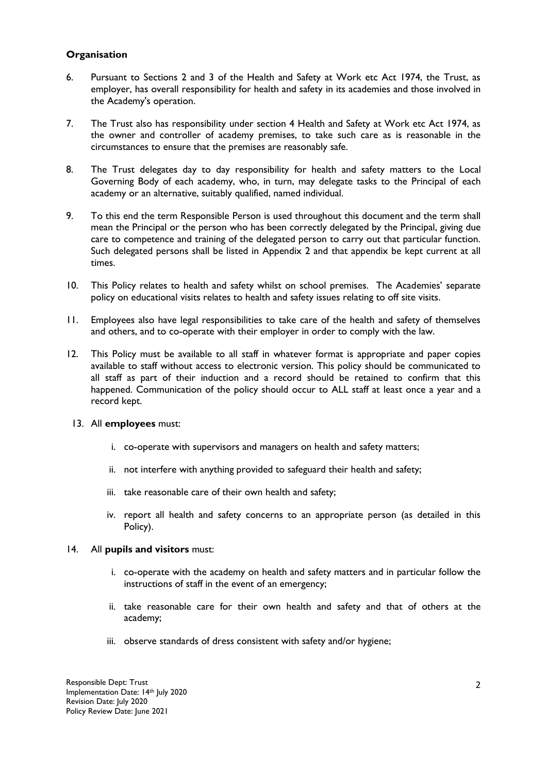#### **Organisation**

- 6. Pursuant to Sections 2 and 3 of the Health and Safety at Work etc Act 1974, the Trust, as employer, has overall responsibility for health and safety in its academies and those involved in the Academy's operation.
- 7. The Trust also has responsibility under section 4 Health and Safety at Work etc Act 1974, as the owner and controller of academy premises, to take such care as is reasonable in the circumstances to ensure that the premises are reasonably safe.
- 8. The Trust delegates day to day responsibility for health and safety matters to the Local Governing Body of each academy, who, in turn, may delegate tasks to the Principal of each academy or an alternative, suitably qualified, named individual.
- 9. To this end the term Responsible Person is used throughout this document and the term shall mean the Principal or the person who has been correctly delegated by the Principal, giving due care to competence and training of the delegated person to carry out that particular function. Such delegated persons shall be listed in Appendix 2 and that appendix be kept current at all times.
- 10. This Policy relates to health and safety whilst on school premises. The Academies' separate policy on educational visits relates to health and safety issues relating to off site visits.
- 11. Employees also have legal responsibilities to take care of the health and safety of themselves and others, and to co-operate with their employer in order to comply with the law.
- 12. This Policy must be available to all staff in whatever format is appropriate and paper copies available to staff without access to electronic version. This policy should be communicated to all staff as part of their induction and a record should be retained to confirm that this happened. Communication of the policy should occur to ALL staff at least once a year and a record kept.
	- 13. All **employees** must:
		- i. co-operate with supervisors and managers on health and safety matters;
		- ii. not interfere with anything provided to safeguard their health and safety;
		- iii. take reasonable care of their own health and safety;
		- iv. report all health and safety concerns to an appropriate person (as detailed in this Policy).

#### 14. All **pupils and visitors** must:

- i. co-operate with the academy on health and safety matters and in particular follow the instructions of staff in the event of an emergency;
- ii. take reasonable care for their own health and safety and that of others at the academy;
- iii. observe standards of dress consistent with safety and/or hygiene;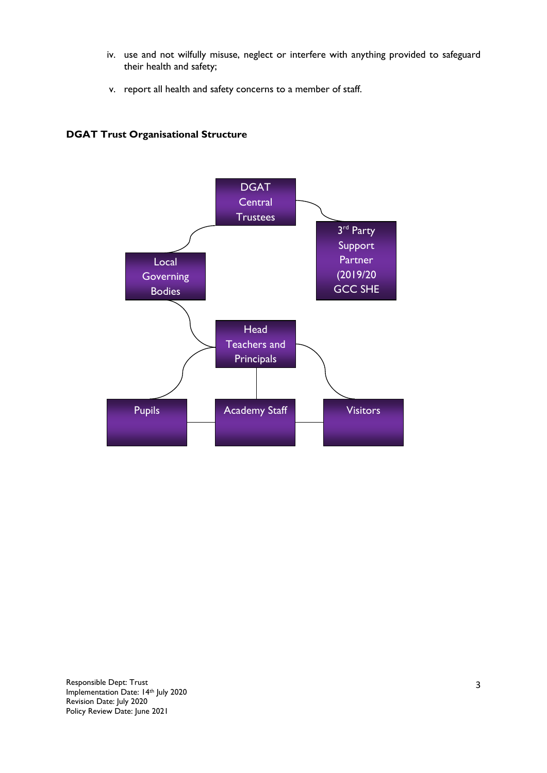- iv. use and not wilfully misuse, neglect or interfere with anything provided to safeguard their health and safety;
- v. report all health and safety concerns to a member of staff.

### **DGAT Trust Organisational Structure**

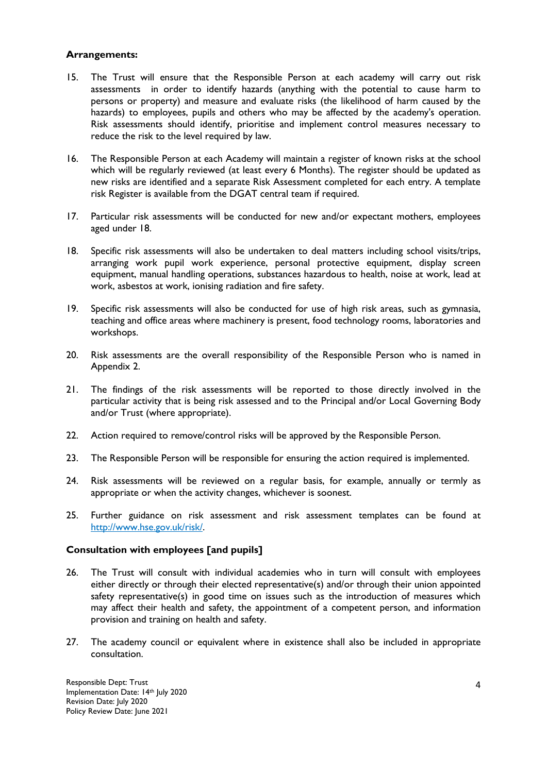#### **Arrangements:**

- 15. The Trust will ensure that the Responsible Person at each academy will carry out risk assessments in order to identify hazards (anything with the potential to cause harm to persons or property) and measure and evaluate risks (the likelihood of harm caused by the hazards) to employees, pupils and others who may be affected by the academy's operation. Risk assessments should identify, prioritise and implement control measures necessary to reduce the risk to the level required by law.
- 16. The Responsible Person at each Academy will maintain a register of known risks at the school which will be regularly reviewed (at least every 6 Months). The register should be updated as new risks are identified and a separate Risk Assessment completed for each entry. A template risk Register is available from the DGAT central team if required.
- 17. Particular risk assessments will be conducted for new and/or expectant mothers, employees aged under 18.
- 18. Specific risk assessments will also be undertaken to deal matters including school visits/trips, arranging work pupil work experience, personal protective equipment, display screen equipment, manual handling operations, substances hazardous to health, noise at work, lead at work, asbestos at work, ionising radiation and fire safety.
- 19. Specific risk assessments will also be conducted for use of high risk areas, such as gymnasia, teaching and office areas where machinery is present, food technology rooms, laboratories and workshops.
- 20. Risk assessments are the overall responsibility of the Responsible Person who is named in Appendix 2.
- 21. The findings of the risk assessments will be reported to those directly involved in the particular activity that is being risk assessed and to the Principal and/or Local Governing Body and/or Trust (where appropriate).
- 22. Action required to remove/control risks will be approved by the Responsible Person.
- 23. The Responsible Person will be responsible for ensuring the action required is implemented.
- 24. Risk assessments will be reviewed on a regular basis, for example, annually or termly as appropriate or when the activity changes, whichever is soonest.
- 25. Further guidance on risk assessment and risk assessment templates can be found at [http://www.hse.gov.uk/risk/.](http://www.hse.gov.uk/risk/)

#### **Consultation with employees [and pupils]**

- 26. The Trust will consult with individual academies who in turn will consult with employees either directly or through their elected representative(s) and/or through their union appointed safety representative(s) in good time on issues such as the introduction of measures which may affect their health and safety, the appointment of a competent person, and information provision and training on health and safety.
- 27. The academy council or equivalent where in existence shall also be included in appropriate consultation.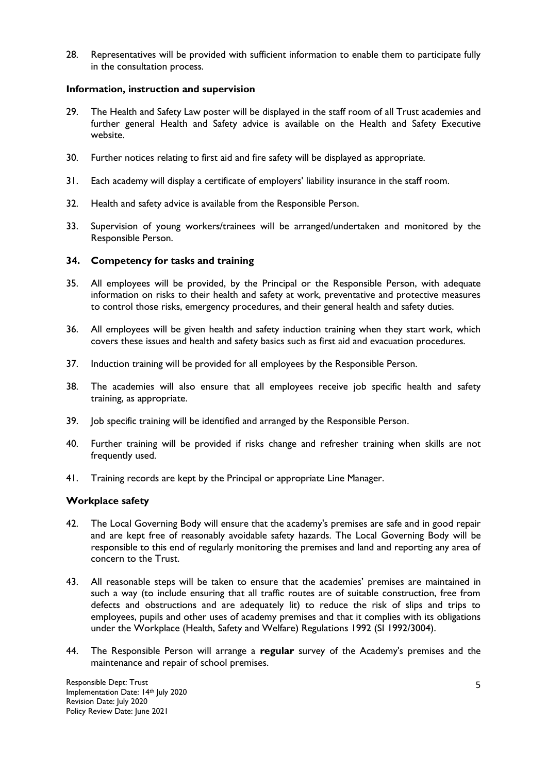28. Representatives will be provided with sufficient information to enable them to participate fully in the consultation process.

#### **Information, instruction and supervision**

- 29. The Health and Safety Law poster will be displayed in the staff room of all Trust academies and further general Health and Safety advice is available on the Health and Safety Executive website.
- 30. Further notices relating to first aid and fire safety will be displayed as appropriate.
- 31. Each academy will display a certificate of employers' liability insurance in the staff room.
- 32. Health and safety advice is available from the Responsible Person.
- 33. Supervision of young workers/trainees will be arranged/undertaken and monitored by the Responsible Person.

#### **34. Competency for tasks and training**

- 35. All employees will be provided, by the Principal or the Responsible Person, with adequate information on risks to their health and safety at work, preventative and protective measures to control those risks, emergency procedures, and their general health and safety duties.
- 36. All employees will be given health and safety induction training when they start work, which covers these issues and health and safety basics such as first aid and evacuation procedures.
- 37. Induction training will be provided for all employees by the Responsible Person.
- 38. The academies will also ensure that all employees receive job specific health and safety training, as appropriate.
- 39. Job specific training will be identified and arranged by the Responsible Person.
- 40. Further training will be provided if risks change and refresher training when skills are not frequently used.
- 41. Training records are kept by the Principal or appropriate Line Manager.

#### **Workplace safety**

- 42. The Local Governing Body will ensure that the academy's premises are safe and in good repair and are kept free of reasonably avoidable safety hazards. The Local Governing Body will be responsible to this end of regularly monitoring the premises and land and reporting any area of concern to the Trust.
- 43. All reasonable steps will be taken to ensure that the academies' premises are maintained in such a way (to include ensuring that all traffic routes are of suitable construction, free from defects and obstructions and are adequately lit) to reduce the risk of slips and trips to employees, pupils and other uses of academy premises and that it complies with its obligations under the Workplace (Health, Safety and Welfare) Regulations 1992 (SI 1992/3004).
- 44. The Responsible Person will arrange a **regular** survey of the Academy's premises and the maintenance and repair of school premises.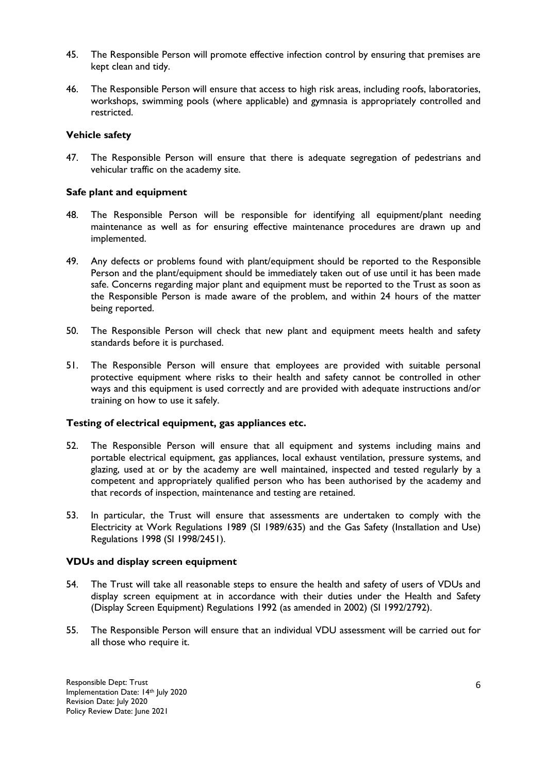- 45. The Responsible Person will promote effective infection control by ensuring that premises are kept clean and tidy.
- 46. The Responsible Person will ensure that access to high risk areas, including roofs, laboratories, workshops, swimming pools (where applicable) and gymnasia is appropriately controlled and restricted.

#### **Vehicle safety**

47. The Responsible Person will ensure that there is adequate segregation of pedestrians and vehicular traffic on the academy site.

#### **Safe plant and equipment**

- 48. The Responsible Person will be responsible for identifying all equipment/plant needing maintenance as well as for ensuring effective maintenance procedures are drawn up and implemented.
- 49. Any defects or problems found with plant/equipment should be reported to the Responsible Person and the plant/equipment should be immediately taken out of use until it has been made safe. Concerns regarding major plant and equipment must be reported to the Trust as soon as the Responsible Person is made aware of the problem, and within 24 hours of the matter being reported.
- 50. The Responsible Person will check that new plant and equipment meets health and safety standards before it is purchased.
- 51. The Responsible Person will ensure that employees are provided with suitable personal protective equipment where risks to their health and safety cannot be controlled in other ways and this equipment is used correctly and are provided with adequate instructions and/or training on how to use it safely.

#### **Testing of electrical equipment, gas appliances etc.**

- 52. The Responsible Person will ensure that all equipment and systems including mains and portable electrical equipment, gas appliances, local exhaust ventilation, pressure systems, and glazing, used at or by the academy are well maintained, inspected and tested regularly by a competent and appropriately qualified person who has been authorised by the academy and that records of inspection, maintenance and testing are retained.
- 53. In particular, the Trust will ensure that assessments are undertaken to comply with the Electricity at Work Regulations 1989 (SI 1989/635) and the Gas Safety (Installation and Use) Regulations 1998 (SI 1998/2451).

#### **VDUs and display screen equipment**

- 54. The Trust will take all reasonable steps to ensure the health and safety of users of VDUs and display screen equipment at in accordance with their duties under the Health and Safety (Display Screen Equipment) Regulations 1992 (as amended in 2002) (SI 1992/2792).
- 55. The Responsible Person will ensure that an individual VDU assessment will be carried out for all those who require it.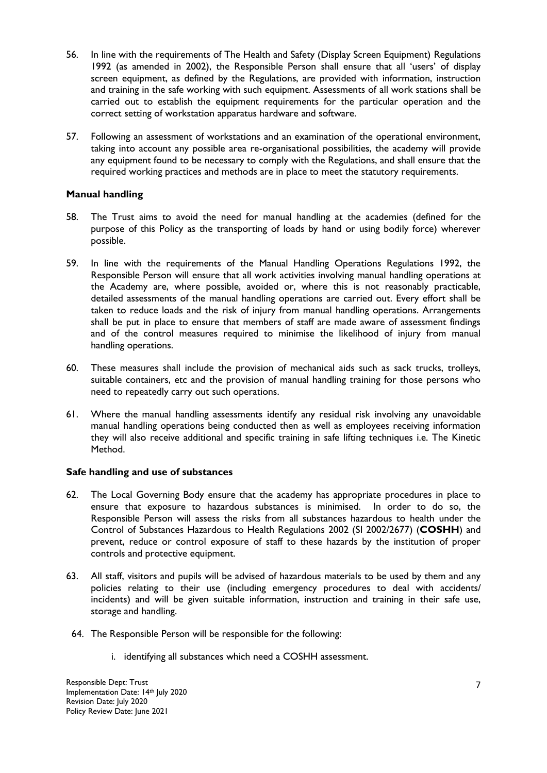- 56. In line with the requirements of The Health and Safety (Display Screen Equipment) Regulations 1992 (as amended in 2002), the Responsible Person shall ensure that all 'users' of display screen equipment, as defined by the Regulations, are provided with information, instruction and training in the safe working with such equipment. Assessments of all work stations shall be carried out to establish the equipment requirements for the particular operation and the correct setting of workstation apparatus hardware and software.
- 57. Following an assessment of workstations and an examination of the operational environment, taking into account any possible area re-organisational possibilities, the academy will provide any equipment found to be necessary to comply with the Regulations, and shall ensure that the required working practices and methods are in place to meet the statutory requirements.

#### **Manual handling**

- 58. The Trust aims to avoid the need for manual handling at the academies (defined for the purpose of this Policy as the transporting of loads by hand or using bodily force) wherever possible.
- 59. In line with the requirements of the Manual Handling Operations Regulations 1992, the Responsible Person will ensure that all work activities involving manual handling operations at the Academy are, where possible, avoided or, where this is not reasonably practicable, detailed assessments of the manual handling operations are carried out. Every effort shall be taken to reduce loads and the risk of injury from manual handling operations. Arrangements shall be put in place to ensure that members of staff are made aware of assessment findings and of the control measures required to minimise the likelihood of injury from manual handling operations.
- 60. These measures shall include the provision of mechanical aids such as sack trucks, trolleys, suitable containers, etc and the provision of manual handling training for those persons who need to repeatedly carry out such operations.
- 61. Where the manual handling assessments identify any residual risk involving any unavoidable manual handling operations being conducted then as well as employees receiving information they will also receive additional and specific training in safe lifting techniques i.e. The Kinetic Method.

#### **Safe handling and use of substances**

- 62. The Local Governing Body ensure that the academy has appropriate procedures in place to ensure that exposure to hazardous substances is minimised. In order to do so, the Responsible Person will assess the risks from all substances hazardous to health under the Control of Substances Hazardous to Health Regulations 2002 (SI 2002/2677) (**COSHH**) and prevent, reduce or control exposure of staff to these hazards by the institution of proper controls and protective equipment.
- 63. All staff, visitors and pupils will be advised of hazardous materials to be used by them and any policies relating to their use (including emergency procedures to deal with accidents/ incidents) and will be given suitable information, instruction and training in their safe use, storage and handling.
- 64. The Responsible Person will be responsible for the following:
	- i. identifying all substances which need a COSHH assessment.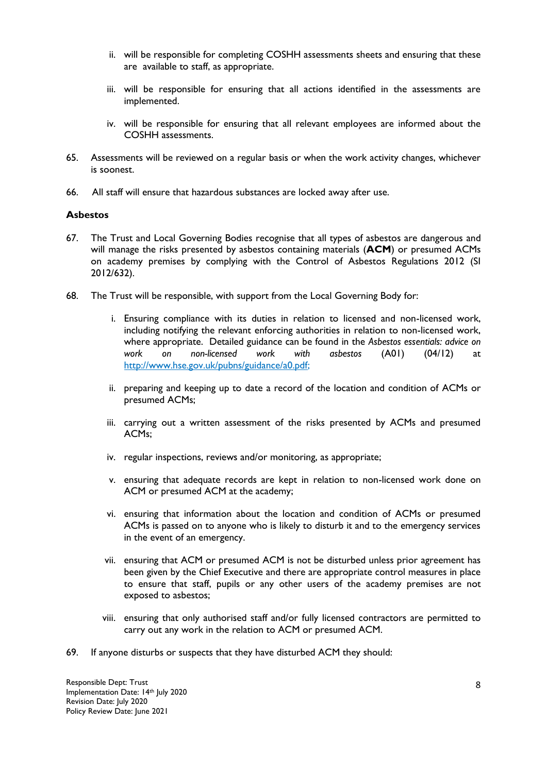- ii. will be responsible for completing COSHH assessments sheets and ensuring that these are available to staff, as appropriate.
- iii. will be responsible for ensuring that all actions identified in the assessments are implemented.
- iv. will be responsible for ensuring that all relevant employees are informed about the COSHH assessments.
- 65. Assessments will be reviewed on a regular basis or when the work activity changes, whichever is soonest.
- 66. All staff will ensure that hazardous substances are locked away after use.

#### **Asbestos**

- 67. The Trust and Local Governing Bodies recognise that all types of asbestos are dangerous and will manage the risks presented by asbestos containing materials (**ACM**) or presumed ACMs on academy premises by complying with the Control of Asbestos Regulations 2012 (SI 2012/632).
- 68. The Trust will be responsible, with support from the Local Governing Body for:
	- i. Ensuring compliance with its duties in relation to licensed and non-licensed work, including notifying the relevant enforcing authorities in relation to non-licensed work, where appropriate. Detailed guidance can be found in the *Asbestos essentials: advice on work on non-licensed work with asbestos* (A01) (04/12) at [http://www.hse.gov.uk/pubns/guidance/a0.pdf;](http://www.hse.gov.uk/pubns/guidance/a0.pdf)
	- ii. preparing and keeping up to date a record of the location and condition of ACMs or presumed ACMs;
	- iii. carrying out a written assessment of the risks presented by ACMs and presumed ACMs;
	- iv. regular inspections, reviews and/or monitoring, as appropriate;
	- v. ensuring that adequate records are kept in relation to non-licensed work done on ACM or presumed ACM at the academy;
	- vi. ensuring that information about the location and condition of ACMs or presumed ACMs is passed on to anyone who is likely to disturb it and to the emergency services in the event of an emergency.
	- vii. ensuring that ACM or presumed ACM is not be disturbed unless prior agreement has been given by the Chief Executive and there are appropriate control measures in place to ensure that staff, pupils or any other users of the academy premises are not exposed to asbestos;
	- viii. ensuring that only authorised staff and/or fully licensed contractors are permitted to carry out any work in the relation to ACM or presumed ACM.
- 69. If anyone disturbs or suspects that they have disturbed ACM they should: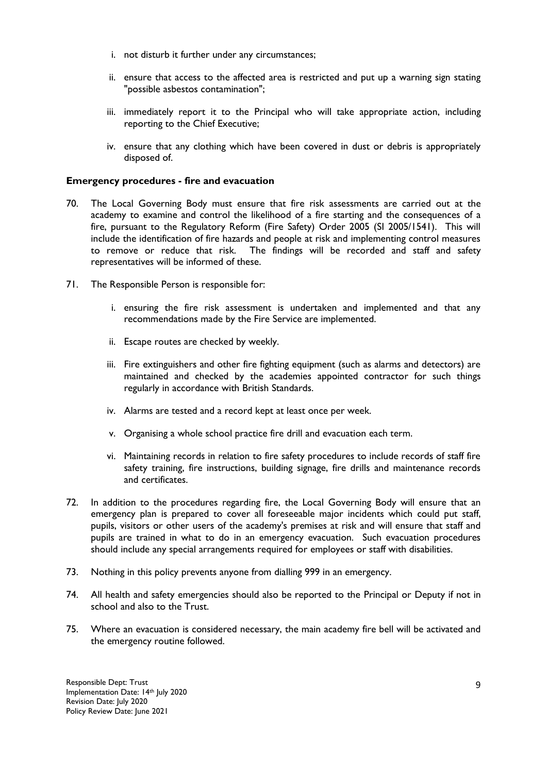- i. not disturb it further under any circumstances;
- ii. ensure that access to the affected area is restricted and put up a warning sign stating "possible asbestos contamination";
- iii. immediately report it to the Principal who will take appropriate action, including reporting to the Chief Executive;
- iv. ensure that any clothing which have been covered in dust or debris is appropriately disposed of.

#### **Emergency procedures - fire and evacuation**

- 70. The Local Governing Body must ensure that fire risk assessments are carried out at the academy to examine and control the likelihood of a fire starting and the consequences of a fire, pursuant to the Regulatory Reform (Fire Safety) Order 2005 (SI 2005/1541). This will include the identification of fire hazards and people at risk and implementing control measures to remove or reduce that risk. The findings will be recorded and staff and safety representatives will be informed of these.
- 71. The Responsible Person is responsible for:
	- i. ensuring the fire risk assessment is undertaken and implemented and that any recommendations made by the Fire Service are implemented.
	- ii. Escape routes are checked by weekly.
	- iii. Fire extinguishers and other fire fighting equipment (such as alarms and detectors) are maintained and checked by the academies appointed contractor for such things regularly in accordance with British Standards.
	- iv. Alarms are tested and a record kept at least once per week.
	- v. Organising a whole school practice fire drill and evacuation each term.
	- vi. Maintaining records in relation to fire safety procedures to include records of staff fire safety training, fire instructions, building signage, fire drills and maintenance records and certificates.
- 72. In addition to the procedures regarding fire, the Local Governing Body will ensure that an emergency plan is prepared to cover all foreseeable major incidents which could put staff, pupils, visitors or other users of the academy's premises at risk and will ensure that staff and pupils are trained in what to do in an emergency evacuation. Such evacuation procedures should include any special arrangements required for employees or staff with disabilities.
- 73. Nothing in this policy prevents anyone from dialling 999 in an emergency.
- 74. All health and safety emergencies should also be reported to the Principal or Deputy if not in school and also to the Trust.
- 75. Where an evacuation is considered necessary, the main academy fire bell will be activated and the emergency routine followed.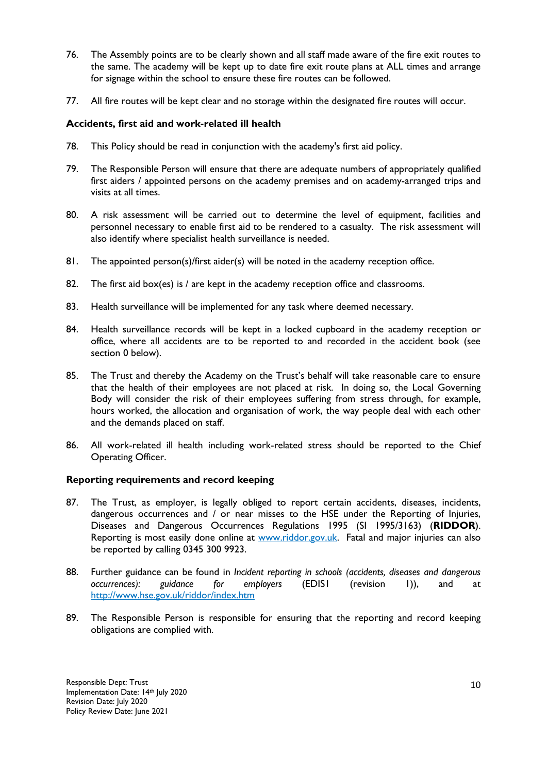- 76. The Assembly points are to be clearly shown and all staff made aware of the fire exit routes to the same. The academy will be kept up to date fire exit route plans at ALL times and arrange for signage within the school to ensure these fire routes can be followed.
- 77. All fire routes will be kept clear and no storage within the designated fire routes will occur.

#### **Accidents, first aid and work-related ill health**

- 78. This Policy should be read in conjunction with the academy's first aid policy.
- 79. The Responsible Person will ensure that there are adequate numbers of appropriately qualified first aiders / appointed persons on the academy premises and on academy-arranged trips and visits at all times.
- 80. A risk assessment will be carried out to determine the level of equipment, facilities and personnel necessary to enable first aid to be rendered to a casualty. The risk assessment will also identify where specialist health surveillance is needed.
- 81. The appointed person(s)/first aider(s) will be noted in the academy reception office.
- 82. The first aid box(es) is  $/$  are kept in the academy reception office and classrooms.
- 83. Health surveillance will be implemented for any task where deemed necessary.
- 84. Health surveillance records will be kept in a locked cupboard in the academy reception or office, where all accidents are to be reported to and recorded in the accident book (see section [0](#page-10-0) below).
- 85. The Trust and thereby the Academy on the Trust's behalf will take reasonable care to ensure that the health of their employees are not placed at risk. In doing so, the Local Governing Body will consider the risk of their employees suffering from stress through, for example, hours worked, the allocation and organisation of work, the way people deal with each other and the demands placed on staff.
- 86. All work-related ill health including work-related stress should be reported to the Chief Operating Officer.

#### <span id="page-10-0"></span>**Reporting requirements and record keeping**

- 87. The Trust, as employer, is legally obliged to report certain accidents, diseases, incidents, dangerous occurrences and / or near misses to the HSE under the Reporting of Injuries, Diseases and Dangerous Occurrences Regulations 1995 (SI 1995/3163) (**RIDDOR**). Reporting is most easily done online at [www.riddor.gov.uk.](http://www.riddor.gov.uk/) Fatal and major injuries can also be reported by calling 0345 300 9923.
- 88. Further guidance can be found in *Incident reporting in schools (accidents, diseases and dangerous occurrences): guidance for employers* (EDIS1 (revision 1)), and at <http://www.hse.gov.uk/riddor/index.htm>
- 89. The Responsible Person is responsible for ensuring that the reporting and record keeping obligations are complied with.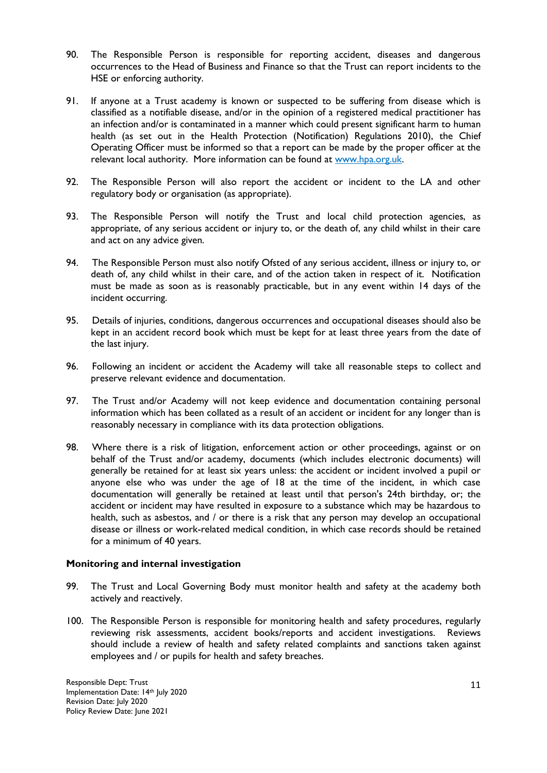- 90. The Responsible Person is responsible for reporting accident, diseases and dangerous occurrences to the Head of Business and Finance so that the Trust can report incidents to the HSE or enforcing authority.
- 91. If anyone at a Trust academy is known or suspected to be suffering from disease which is classified as a notifiable disease, and/or in the opinion of a registered medical practitioner has an infection and/or is contaminated in a manner which could present significant harm to human health (as set out in the Health Protection (Notification) Regulations 2010), the Chief Operating Officer must be informed so that a report can be made by the proper officer at the relevant local authority. More information can be found at www.hpa.org.uk.
- 92. The Responsible Person will also report the accident or incident to the LA and other regulatory body or organisation (as appropriate).
- 93. The Responsible Person will notify the Trust and local child protection agencies, as appropriate, of any serious accident or injury to, or the death of, any child whilst in their care and act on any advice given.
- 94. The Responsible Person must also notify Ofsted of any serious accident, illness or injury to, or death of, any child whilst in their care, and of the action taken in respect of it. Notification must be made as soon as is reasonably practicable, but in any event within 14 days of the incident occurring.
- 95. Details of injuries, conditions, dangerous occurrences and occupational diseases should also be kept in an accident record book which must be kept for at least three years from the date of the last injury.
- 96. Following an incident or accident the Academy will take all reasonable steps to collect and preserve relevant evidence and documentation.
- 97. The Trust and/or Academy will not keep evidence and documentation containing personal information which has been collated as a result of an accident or incident for any longer than is reasonably necessary in compliance with its data protection obligations.
- 98. Where there is a risk of litigation, enforcement action or other proceedings, against or on behalf of the Trust and/or academy, documents (which includes electronic documents) will generally be retained for at least six years unless: the accident or incident involved a pupil or anyone else who was under the age of 18 at the time of the incident, in which case documentation will generally be retained at least until that person's 24th birthday, or; the accident or incident may have resulted in exposure to a substance which may be hazardous to health, such as asbestos, and / or there is a risk that any person may develop an occupational disease or illness or work-related medical condition, in which case records should be retained for a minimum of 40 years.

#### **Monitoring and internal investigation**

- 99. The Trust and Local Governing Body must monitor health and safety at the academy both actively and reactively.
- 100. The Responsible Person is responsible for monitoring health and safety procedures, regularly reviewing risk assessments, accident books/reports and accident investigations. Reviews should include a review of health and safety related complaints and sanctions taken against employees and / or pupils for health and safety breaches.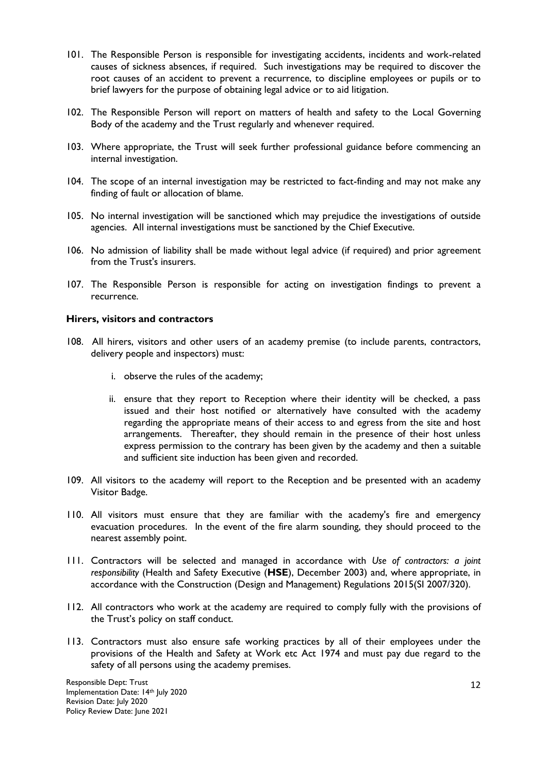- 101. The Responsible Person is responsible for investigating accidents, incidents and work-related causes of sickness absences, if required. Such investigations may be required to discover the root causes of an accident to prevent a recurrence, to discipline employees or pupils or to brief lawyers for the purpose of obtaining legal advice or to aid litigation.
- 102. The Responsible Person will report on matters of health and safety to the Local Governing Body of the academy and the Trust regularly and whenever required.
- 103. Where appropriate, the Trust will seek further professional guidance before commencing an internal investigation.
- 104. The scope of an internal investigation may be restricted to fact-finding and may not make any finding of fault or allocation of blame.
- 105. No internal investigation will be sanctioned which may prejudice the investigations of outside agencies. All internal investigations must be sanctioned by the Chief Executive.
- 106. No admission of liability shall be made without legal advice (if required) and prior agreement from the Trust's insurers.
- 107. The Responsible Person is responsible for acting on investigation findings to prevent a recurrence.

#### **Hirers, visitors and contractors**

- 108. All hirers, visitors and other users of an academy premise (to include parents, contractors, delivery people and inspectors) must:
	- i. observe the rules of the academy;
	- ii. ensure that they report to Reception where their identity will be checked, a pass issued and their host notified or alternatively have consulted with the academy regarding the appropriate means of their access to and egress from the site and host arrangements. Thereafter, they should remain in the presence of their host unless express permission to the contrary has been given by the academy and then a suitable and sufficient site induction has been given and recorded.
- 109. All visitors to the academy will report to the Reception and be presented with an academy Visitor Badge.
- 110. All visitors must ensure that they are familiar with the academy's fire and emergency evacuation procedures. In the event of the fire alarm sounding, they should proceed to the nearest assembly point.
- 111. Contractors will be selected and managed in accordance with *Use of contractors: a joint responsibility* (Health and Safety Executive (**HSE**), December 2003) and, where appropriate, in accordance with the Construction (Design and Management) Regulations 2015(SI 2007/320).
- 112. All contractors who work at the academy are required to comply fully with the provisions of the Trust's policy on staff conduct.
- 113. Contractors must also ensure safe working practices by all of their employees under the provisions of the Health and Safety at Work etc Act 1974 and must pay due regard to the safety of all persons using the academy premises.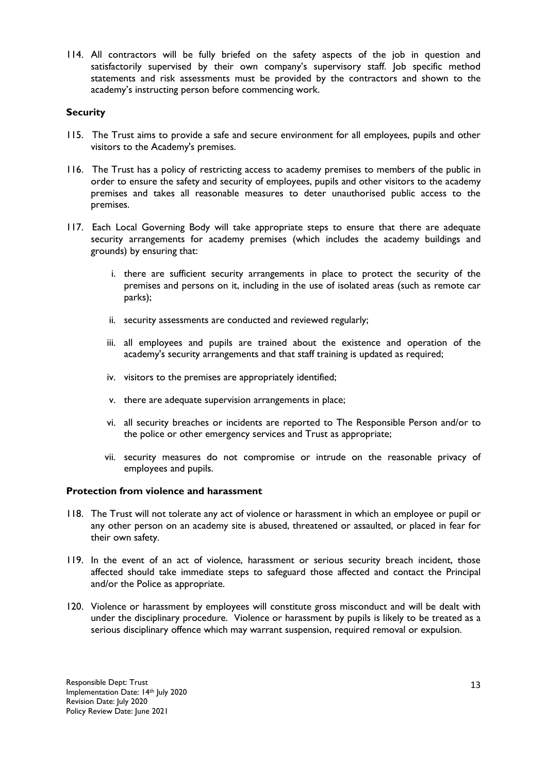114. All contractors will be fully briefed on the safety aspects of the job in question and satisfactorily supervised by their own company's supervisory staff. Job specific method statements and risk assessments must be provided by the contractors and shown to the academy's instructing person before commencing work.

#### **Security**

- 115. The Trust aims to provide a safe and secure environment for all employees, pupils and other visitors to the Academy's premises.
- 116. The Trust has a policy of restricting access to academy premises to members of the public in order to ensure the safety and security of employees, pupils and other visitors to the academy premises and takes all reasonable measures to deter unauthorised public access to the premises.
- 117. Each Local Governing Body will take appropriate steps to ensure that there are adequate security arrangements for academy premises (which includes the academy buildings and grounds) by ensuring that:
	- i. there are sufficient security arrangements in place to protect the security of the premises and persons on it, including in the use of isolated areas (such as remote car parks);
	- ii. security assessments are conducted and reviewed regularly;
	- iii. all employees and pupils are trained about the existence and operation of the academy's security arrangements and that staff training is updated as required;
	- iv. visitors to the premises are appropriately identified;
	- v. there are adequate supervision arrangements in place;
	- vi. all security breaches or incidents are reported to The Responsible Person and/or to the police or other emergency services and Trust as appropriate;
	- vii. security measures do not compromise or intrude on the reasonable privacy of employees and pupils.

#### **Protection from violence and harassment**

- 118. The Trust will not tolerate any act of violence or harassment in which an employee or pupil or any other person on an academy site is abused, threatened or assaulted, or placed in fear for their own safety.
- 119. In the event of an act of violence, harassment or serious security breach incident, those affected should take immediate steps to safeguard those affected and contact the Principal and/or the Police as appropriate.
- 120. Violence or harassment by employees will constitute gross misconduct and will be dealt with under the disciplinary procedure. Violence or harassment by pupils is likely to be treated as a serious disciplinary offence which may warrant suspension, required removal or expulsion.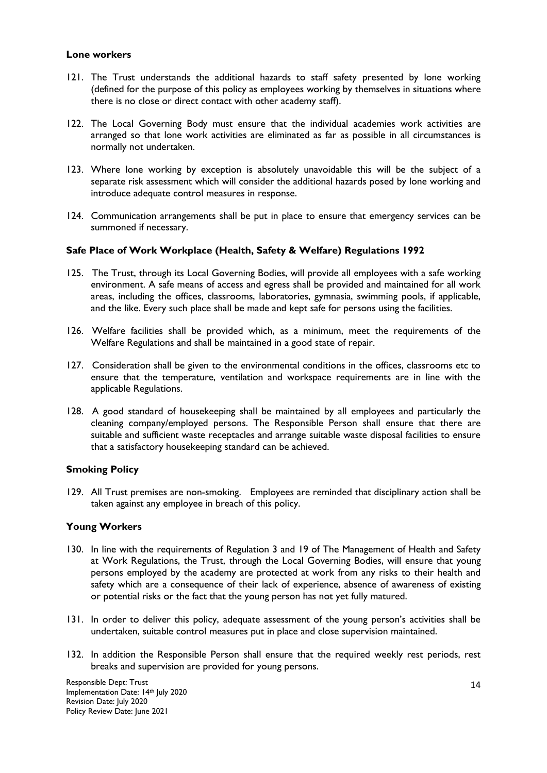#### **Lone workers**

- 121. The Trust understands the additional hazards to staff safety presented by lone working (defined for the purpose of this policy as employees working by themselves in situations where there is no close or direct contact with other academy staff).
- 122. The Local Governing Body must ensure that the individual academies work activities are arranged so that lone work activities are eliminated as far as possible in all circumstances is normally not undertaken.
- 123. Where lone working by exception is absolutely unavoidable this will be the subject of a separate risk assessment which will consider the additional hazards posed by lone working and introduce adequate control measures in response.
- 124. Communication arrangements shall be put in place to ensure that emergency services can be summoned if necessary.

#### **Safe Place of Work Workplace (Health, Safety & Welfare) Regulations 1992**

- 125. The Trust, through its Local Governing Bodies, will provide all employees with a safe working environment. A safe means of access and egress shall be provided and maintained for all work areas, including the offices, classrooms, laboratories, gymnasia, swimming pools, if applicable, and the like. Every such place shall be made and kept safe for persons using the facilities.
- 126. Welfare facilities shall be provided which, as a minimum, meet the requirements of the Welfare Regulations and shall be maintained in a good state of repair.
- 127. Consideration shall be given to the environmental conditions in the offices, classrooms etc to ensure that the temperature, ventilation and workspace requirements are in line with the applicable Regulations.
- 128. A good standard of housekeeping shall be maintained by all employees and particularly the cleaning company/employed persons. The Responsible Person shall ensure that there are suitable and sufficient waste receptacles and arrange suitable waste disposal facilities to ensure that a satisfactory housekeeping standard can be achieved.

#### **Smoking Policy**

129. All Trust premises are non-smoking. Employees are reminded that disciplinary action shall be taken against any employee in breach of this policy.

#### **Young Workers**

- 130. In line with the requirements of Regulation 3 and 19 of The Management of Health and Safety at Work Regulations, the Trust, through the Local Governing Bodies, will ensure that young persons employed by the academy are protected at work from any risks to their health and safety which are a consequence of their lack of experience, absence of awareness of existing or potential risks or the fact that the young person has not yet fully matured.
- 131. In order to deliver this policy, adequate assessment of the young person's activities shall be undertaken, suitable control measures put in place and close supervision maintained.
- 132. In addition the Responsible Person shall ensure that the required weekly rest periods, rest breaks and supervision are provided for young persons.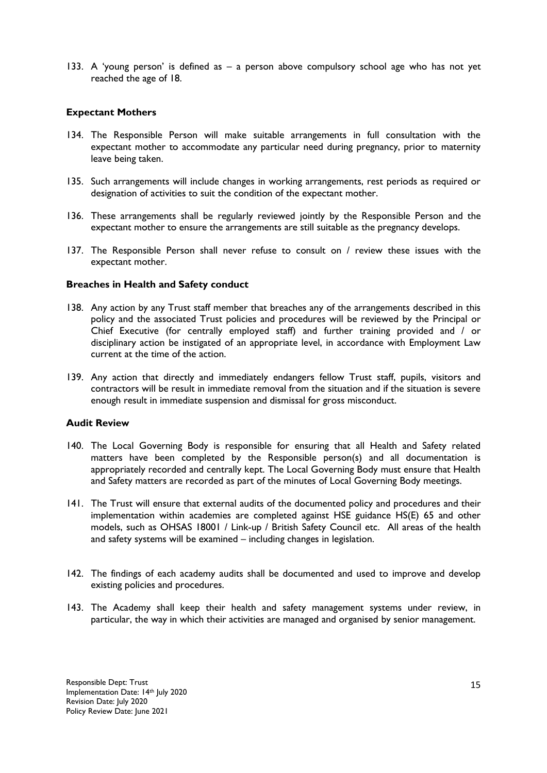133. A 'young person' is defined as – a person above compulsory school age who has not yet reached the age of 18.

#### **Expectant Mothers**

- 134. The Responsible Person will make suitable arrangements in full consultation with the expectant mother to accommodate any particular need during pregnancy, prior to maternity leave being taken.
- 135. Such arrangements will include changes in working arrangements, rest periods as required or designation of activities to suit the condition of the expectant mother.
- 136. These arrangements shall be regularly reviewed jointly by the Responsible Person and the expectant mother to ensure the arrangements are still suitable as the pregnancy develops.
- 137. The Responsible Person shall never refuse to consult on / review these issues with the expectant mother.

#### **Breaches in Health and Safety conduct**

- 138. Any action by any Trust staff member that breaches any of the arrangements described in this policy and the associated Trust policies and procedures will be reviewed by the Principal or Chief Executive (for centrally employed staff) and further training provided and / or disciplinary action be instigated of an appropriate level, in accordance with Employment Law current at the time of the action.
- 139. Any action that directly and immediately endangers fellow Trust staff, pupils, visitors and contractors will be result in immediate removal from the situation and if the situation is severe enough result in immediate suspension and dismissal for gross misconduct.

#### **Audit Review**

- 140. The Local Governing Body is responsible for ensuring that all Health and Safety related matters have been completed by the Responsible person(s) and all documentation is appropriately recorded and centrally kept. The Local Governing Body must ensure that Health and Safety matters are recorded as part of the minutes of Local Governing Body meetings.
- 141. The Trust will ensure that external audits of the documented policy and procedures and their implementation within academies are completed against HSE guidance HS(E) 65 and other models, such as OHSAS 18001 / Link-up / British Safety Council etc. All areas of the health and safety systems will be examined – including changes in legislation.
- 142. The findings of each academy audits shall be documented and used to improve and develop existing policies and procedures.
- 143. The Academy shall keep their health and safety management systems under review, in particular, the way in which their activities are managed and organised by senior management.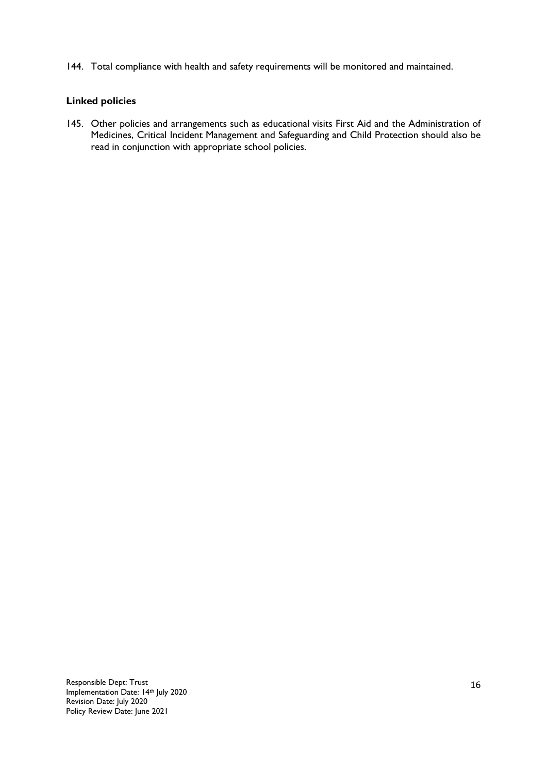144. Total compliance with health and safety requirements will be monitored and maintained.

#### **Linked policies**

145. Other policies and arrangements such as educational visits First Aid and the Administration of Medicines, Critical Incident Management and Safeguarding and Child Protection should also be read in conjunction with appropriate school policies.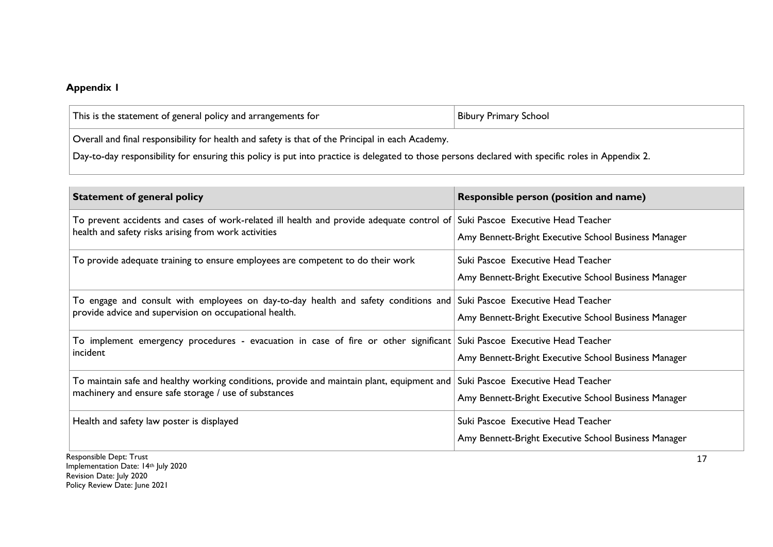## **Appendix 1**

| <b>This</b><br>e statement of general policy and arrangements for | <b>Bibur</b><br><b>School</b><br>umary - |
|-------------------------------------------------------------------|------------------------------------------|
| $\overline{\phantom{a}}$                                          |                                          |

Overall and final responsibility for health and safety is that of the Principal in each Academy.

Day-to-day responsibility for ensuring this policy is put into practice is delegated to those persons declared with specific roles in Appendix 2.

| <b>Statement of general policy</b>                                                                                                                                                                                                                                                               | Responsible person (position and name)               |
|--------------------------------------------------------------------------------------------------------------------------------------------------------------------------------------------------------------------------------------------------------------------------------------------------|------------------------------------------------------|
| To prevent accidents and cases of work-related ill health and provide adequate control of Suki Pascoe Executive Head Teacher<br>health and safety risks arising from work activities                                                                                                             |                                                      |
|                                                                                                                                                                                                                                                                                                  | Amy Bennett-Bright Executive School Business Manager |
| To provide adequate training to ensure employees are competent to do their work                                                                                                                                                                                                                  | Suki Pascoe Executive Head Teacher                   |
|                                                                                                                                                                                                                                                                                                  | Amy Bennett-Bright Executive School Business Manager |
| To engage and consult with employees on day-to-day health and safety conditions and Suki Pascoe Executive Head Teacher<br>provide advice and supervision on occupational health.                                                                                                                 |                                                      |
|                                                                                                                                                                                                                                                                                                  | Amy Bennett-Bright Executive School Business Manager |
| incident                                                                                                                                                                                                                                                                                         |                                                      |
|                                                                                                                                                                                                                                                                                                  | Amy Bennett-Bright Executive School Business Manager |
| machinery and ensure safe storage / use of substances                                                                                                                                                                                                                                            |                                                      |
|                                                                                                                                                                                                                                                                                                  | Amy Bennett-Bright Executive School Business Manager |
| Health and safety law poster is displayed                                                                                                                                                                                                                                                        | Suki Pascoe Executive Head Teacher                   |
|                                                                                                                                                                                                                                                                                                  | Amy Bennett-Bright Executive School Business Manager |
| To implement emergency procedures - evacuation in case of fire or other significant Suki Pascoe Executive Head Teacher<br>To maintain safe and healthy working conditions, provide and maintain plant, equipment and $\mid$ Suki Pascoe Executive Head Teacher<br>منسبة للمحافظ والمائوسو وجوافر |                                                      |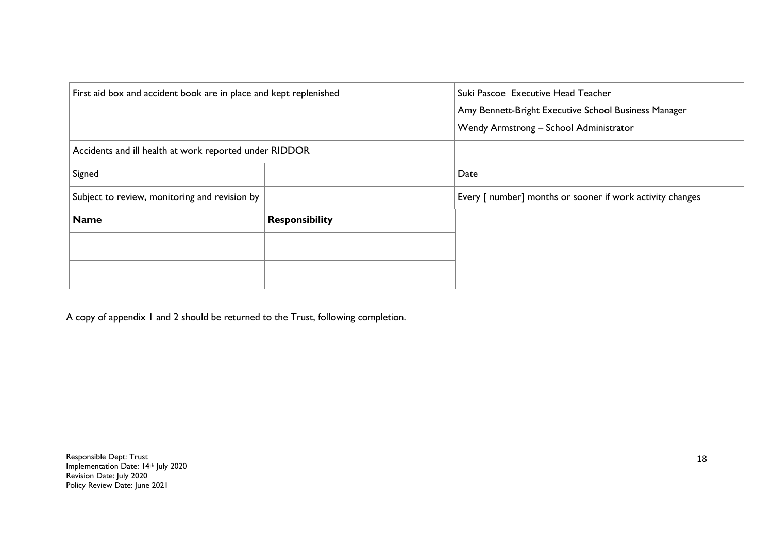| First aid box and accident book are in place and kept replenished |                       |      | Suki Pascoe Executive Head Teacher<br>Amy Bennett-Bright Executive School Business Manager |
|-------------------------------------------------------------------|-----------------------|------|--------------------------------------------------------------------------------------------|
|                                                                   |                       |      | Wendy Armstrong - School Administrator                                                     |
| Accidents and ill health at work reported under RIDDOR            |                       |      |                                                                                            |
| Signed                                                            |                       | Date |                                                                                            |
| Subject to review, monitoring and revision by                     |                       |      | Every [ number] months or sooner if work activity changes                                  |
| <b>Name</b>                                                       | <b>Responsibility</b> |      |                                                                                            |
|                                                                   |                       |      |                                                                                            |
|                                                                   |                       |      |                                                                                            |
|                                                                   |                       |      |                                                                                            |

A copy of appendix 1 and 2 should be returned to the Trust, following completion.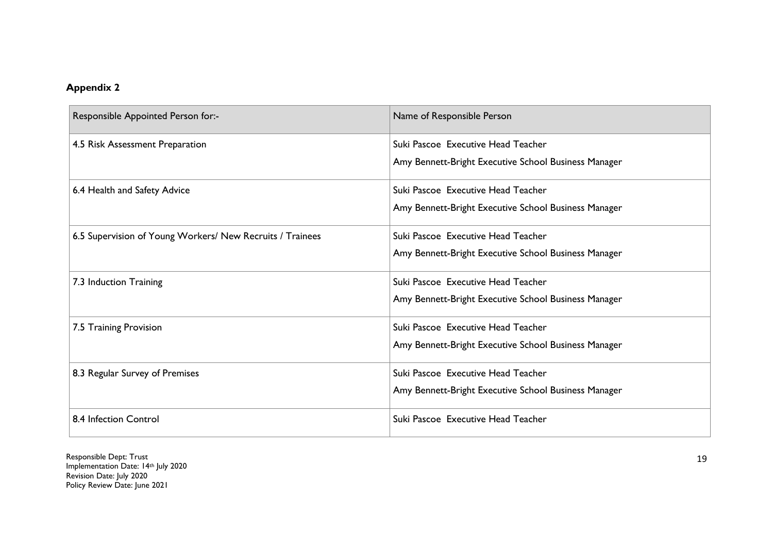# **Appendix 2**

| Responsible Appointed Person for:-                        | Name of Responsible Person                           |
|-----------------------------------------------------------|------------------------------------------------------|
| 4.5 Risk Assessment Preparation                           | Suki Pascoe Executive Head Teacher                   |
|                                                           | Amy Bennett-Bright Executive School Business Manager |
| 6.4 Health and Safety Advice                              | Suki Pascoe Executive Head Teacher                   |
|                                                           | Amy Bennett-Bright Executive School Business Manager |
| 6.5 Supervision of Young Workers/ New Recruits / Trainees | Suki Pascoe Executive Head Teacher                   |
|                                                           | Amy Bennett-Bright Executive School Business Manager |
| 7.3 Induction Training                                    | Suki Pascoe Executive Head Teacher                   |
|                                                           | Amy Bennett-Bright Executive School Business Manager |
| 7.5 Training Provision                                    | Suki Pascoe Executive Head Teacher                   |
|                                                           | Amy Bennett-Bright Executive School Business Manager |
| 8.3 Regular Survey of Premises                            | Suki Pascoe Executive Head Teacher                   |
|                                                           | Amy Bennett-Bright Executive School Business Manager |
| 8.4 Infection Control                                     | Suki Pascoe Executive Head Teacher                   |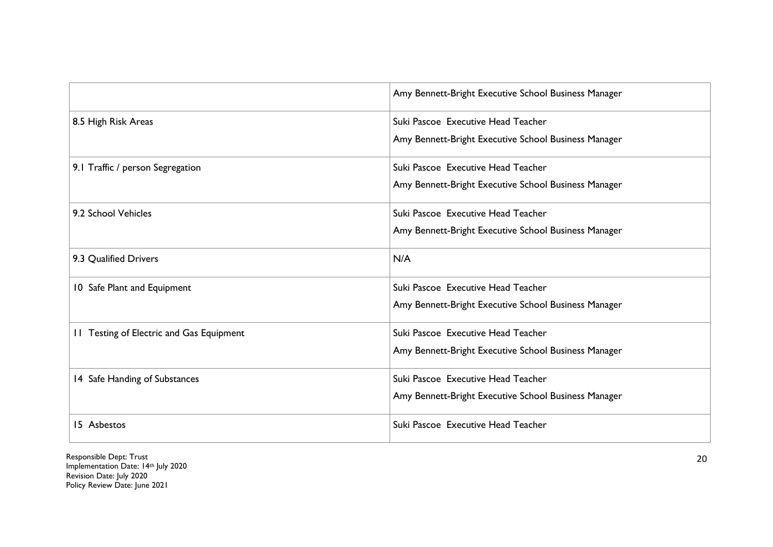|                                          | Amy Bennett-Bright Executive School Business Manager |
|------------------------------------------|------------------------------------------------------|
| 8.5 High Risk Areas                      | Suki Pascoe Executive Head Teacher                   |
|                                          | Amy Bennett-Bright Executive School Business Manager |
| 9.1 Traffic / person Segregation         | Suki Pascoe Executive Head Teacher                   |
|                                          | Amy Bennett-Bright Executive School Business Manager |
| 9.2 School Vehicles                      | Suki Pascoe Executive Head Teacher                   |
|                                          | Amy Bennett-Bright Executive School Business Manager |
| 9.3 Qualified Drivers                    | N/A                                                  |
| 10 Safe Plant and Equipment              | Suki Pascoe Executive Head Teacher                   |
|                                          | Amy Bennett-Bright Executive School Business Manager |
| 11 Testing of Electric and Gas Equipment | Suki Pascoe Executive Head Teacher                   |
|                                          | Amy Bennett-Bright Executive School Business Manager |
| 14 Safe Handing of Substances            | Suki Pascoe Executive Head Teacher                   |
|                                          | Amy Bennett-Bright Executive School Business Manager |
| 15 Asbestos                              | Suki Pascoe Executive Head Teacher                   |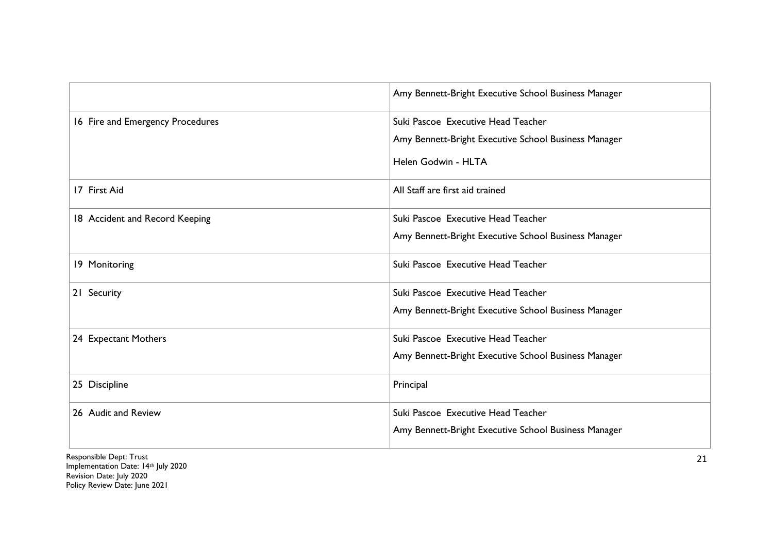|                                  | Amy Bennett-Bright Executive School Business Manager                                                              |
|----------------------------------|-------------------------------------------------------------------------------------------------------------------|
| 16 Fire and Emergency Procedures | Suki Pascoe Executive Head Teacher<br>Amy Bennett-Bright Executive School Business Manager<br>Helen Godwin - HLTA |
| 17 First Aid                     | All Staff are first aid trained                                                                                   |
| 18 Accident and Record Keeping   | Suki Pascoe Executive Head Teacher<br>Amy Bennett-Bright Executive School Business Manager                        |
| 19 Monitoring                    | Suki Pascoe Executive Head Teacher                                                                                |
| 21 Security                      | Suki Pascoe Executive Head Teacher<br>Amy Bennett-Bright Executive School Business Manager                        |
| 24 Expectant Mothers             | Suki Pascoe Executive Head Teacher<br>Amy Bennett-Bright Executive School Business Manager                        |
| 25 Discipline                    | Principal                                                                                                         |
| 26 Audit and Review              | Suki Pascoe Executive Head Teacher<br>Amy Bennett-Bright Executive School Business Manager                        |